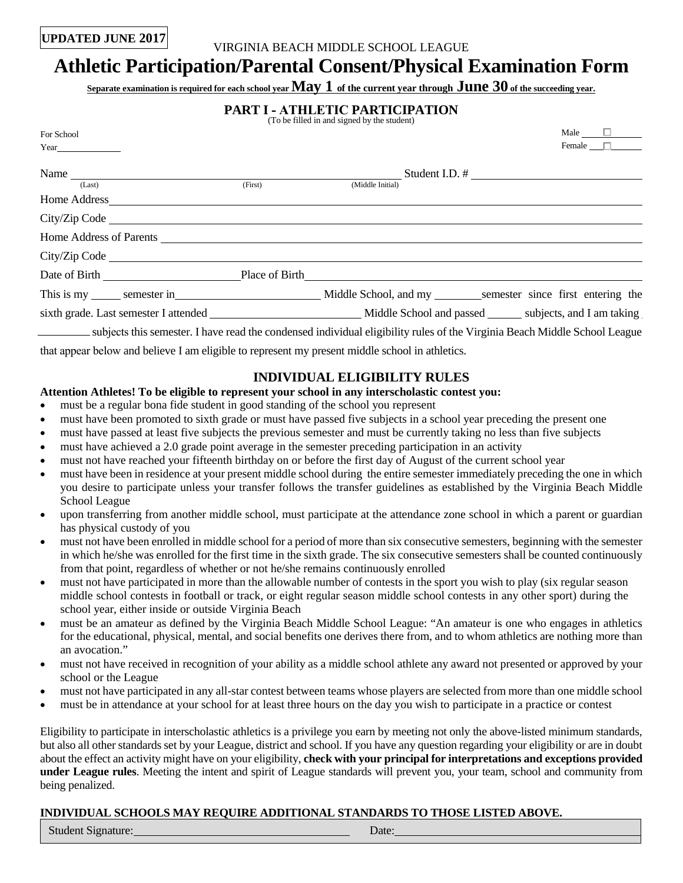# **UPDATED JUNE 2017** VIRGINIA BEACH MIDDLE SCHOOL LEAGUE

## **Athletic Participation/Parental Consent/Physical Examination Form**

Separate examination is required for each school year **May 1** of the current year through **June 30** of the succeeding year.

|  |  | <b>PART I - ATHLETIC PARTICIPATION</b> |
|--|--|----------------------------------------|
|  |  |                                        |

|                                                                                                                                                                                                                                | (To be filled in and signed by the student)                                                                               |               |
|--------------------------------------------------------------------------------------------------------------------------------------------------------------------------------------------------------------------------------|---------------------------------------------------------------------------------------------------------------------------|---------------|
| For School                                                                                                                                                                                                                     |                                                                                                                           | Male $\Box$   |
|                                                                                                                                                                                                                                |                                                                                                                           | Female $\Box$ |
| Name $\frac{1}{\sqrt{1 \cdot \text{set}}}$                                                                                                                                                                                     |                                                                                                                           |               |
|                                                                                                                                                                                                                                | (Middle Initial)                                                                                                          |               |
|                                                                                                                                                                                                                                |                                                                                                                           |               |
| City/Zip Code Lawrence and the contract of the contract of the contract of the contract of the contract of the contract of the contract of the contract of the contract of the contract of the contract of the contract of the |                                                                                                                           |               |
|                                                                                                                                                                                                                                |                                                                                                                           |               |
|                                                                                                                                                                                                                                |                                                                                                                           |               |
| Date of Birth Place of Birth                                                                                                                                                                                                   |                                                                                                                           |               |
| This is my semester in Middle School, and my semester since first entering the                                                                                                                                                 |                                                                                                                           |               |
|                                                                                                                                                                                                                                |                                                                                                                           |               |
|                                                                                                                                                                                                                                | subjects this semester. I have read the condensed individual eligibility rules of the Virginia Beach Middle School League |               |

that appear below and believe I am eligible to represent my present middle school in athletics.

### **INDIVIDUAL ELIGIBILITY RULES**

#### **Attention Athletes! To be eligible to represent your school in any interscholastic contest you:**

- must be a regular bona fide student in good standing of the school you represent
- must have been promoted to sixth grade or must have passed five subjects in a school year preceding the present one
- must have passed at least five subjects the previous semester and must be currently taking no less than five subjects
- must have achieved a 2.0 grade point average in the semester preceding participation in an activity
- must not have reached your fifteenth birthday on or before the first day of August of the current school year
- must have been in residence at your present middle school during the entire semester immediately preceding the one in which you desire to participate unless your transfer follows the transfer guidelines as established by the Virginia Beach Middle School League
- •upon transferring from another middle school, must participate at the attendance zone school in which a parent or guardian has physical custody of you
- must not have been enrolled in middle school for a period of more than six consecutive semesters, beginning with the semester in which he/she was enrolled for the first time in the sixth grade. The six consecutive semesters shall be counted continuously from that point, regardless of whether or not he/she remains continuously enrolled
- must not have participated in more than the allowable number of contests in the sport you wish to play (six regular season middle school contests in football or track, or eight regular season middle school contests in any other sport) during the school year, either inside or outside Virginia Beach
- •must be an amateur as defined by the Virginia Beach Middle School League: "An amateur is one who engages in athletics for the educational, physical, mental, and social benefits one derives there from, and to whom athletics are nothing more than an avocation."
- •must not have received in recognition of your ability as a middle school athlete any award not presented or approved by your school or the League
- must not have participated in any all-star contest between teams whose players are selected from more than one middle school
- must be in attendance at your school for at least three hours on the day you wish to participate in a practice or contest

 Eligibility to participate in interscholastic athletics is a privilege you earn by meeting not only the above-listed minimum standards, but also all other standards set by your League, district and school. If you have any question regarding your eligibility or are in doubt under League rules. Meeting the intent and spirit of League standards will prevent you, your team, school and community from about the effect an activity might have on your eligibility, **check with your principal for interpretations and exceptions provided**  being penalized.

#### **INDIVIDUAL SCHOOLS MAY REQUIRE ADDITIONAL STANDARDS TO THOSE LISTED ABOVE.**

Student Signature: Date: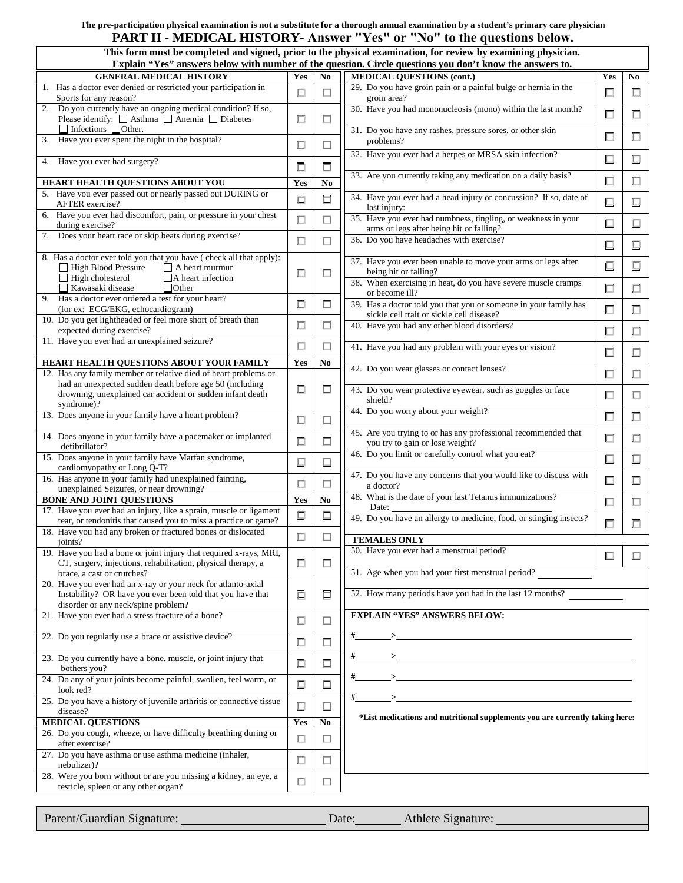#### **PART II - MEDICAL HISTORY- Answer "Yes" or "No" to the questions below. The pre-participation physical examination is not a substitute for a thorough annual examination by a student's primary care physician**

| This form must be completed and signed, prior to the physical examination, for review by examining physician.<br>Explain "Yes" answers below with number of the question. Circle questions you don't know the answers to. |        |                |                                                                                                               |        |        |
|---------------------------------------------------------------------------------------------------------------------------------------------------------------------------------------------------------------------------|--------|----------------|---------------------------------------------------------------------------------------------------------------|--------|--------|
| <b>GENERAL MEDICAL HISTORY</b>                                                                                                                                                                                            | Yes    | N <sub>0</sub> | <b>MEDICAL QUESTIONS (cont.)</b>                                                                              | Yes    | No     |
| 1. Has a doctor ever denied or restricted your participation in<br>Sports for any reason?                                                                                                                                 |        | $\Box$         | 29. Do you have groin pain or a painful bulge or hernia in the<br>groin area?                                 | □      | □      |
| 2. Do you currently have an ongoing medical condition? If so,<br>Please identify: $\Box$ Asthma $\Box$ Anemia $\Box$ Diabetes                                                                                             | □      | П              | 30. Have you had mononucleosis (mono) within the last month?                                                  | □      | ◻      |
| Infections Other.<br>Have you ever spent the night in the hospital?<br>3.                                                                                                                                                 | □      | □              | 31. Do you have any rashes, pressure sores, or other skin<br>problems?                                        | □      | □      |
| 4. Have you ever had surgery?                                                                                                                                                                                             | □      | □              | 32. Have you ever had a herpes or MRSA skin infection?                                                        | 囗      | ◻      |
| HEART HEALTH QUESTIONS ABOUT YOU                                                                                                                                                                                          | Yes    | N <sub>0</sub> | 33. Are you currently taking any medication on a daily basis?                                                 | $\Box$ | $\Box$ |
| 5. Have you ever passed out or nearly passed out DURING or<br>AFTER exercise?                                                                                                                                             |        | 口              | 34. Have you ever had a head injury or concussion? If so, date of<br>last injury:                             | $\Box$ | ⊡      |
| 6. Have you ever had discomfort, pain, or pressure in your chest<br>during exercise?                                                                                                                                      | 口      | $\Box$         | 35. Have you ever had numbness, tingling, or weakness in your<br>arms or legs after being hit or falling?     | □      | ◫      |
| 7. Does your heart race or skip beats during exercise?                                                                                                                                                                    | □      | $\Box$         | 36. Do you have headaches with exercise?                                                                      | $\Box$ | □      |
| 8. Has a doctor ever told you that you have (check all that apply):<br>$\Box$ A heart murmur<br>$\Box$ High Blood Pressure                                                                                                | □      | □              | 37. Have you ever been unable to move your arms or legs after<br>being hit or falling?                        | $\Box$ | 口      |
| $\Box$ High cholesterol<br>$\Box$ A heart infection<br>Kawasaki disease<br>Other                                                                                                                                          |        |                | 38. When exercising in heat, do you have severe muscle cramps<br>or become ill?                               | $\Box$ | □      |
| 9. Has a doctor ever ordered a test for your heart?<br>(for ex: ECG/EKG, echocardiogram)                                                                                                                                  | □      | □              | 39. Has a doctor told you that you or someone in your family has<br>sickle cell trait or sickle cell disease? | $\Box$ | □      |
| 10. Do you get lightheaded or feel more short of breath than<br>expected during exercise?                                                                                                                                 | 囗      | $\Box$         | 40. Have you had any other blood disorders?                                                                   | □      | □      |
| 11. Have you ever had an unexplained seizure?                                                                                                                                                                             | $\Box$ | $\Box$         | 41. Have you had any problem with your eyes or vision?                                                        | □      | ◻      |
| HEART HEALTH QUESTIONS ABOUT YOUR FAMILY<br>12. Has any family member or relative died of heart problems or                                                                                                               | Yes    | No             | 42. Do you wear glasses or contact lenses?                                                                    | П      | 口      |
| had an unexpected sudden death before age 50 (including<br>drowning, unexplained car accident or sudden infant death<br>syndrome)?                                                                                        | □      | □              | 43. Do you wear protective eyewear, such as goggles or face<br>shield?                                        | $\Box$ | $\Box$ |
| 13. Does anyone in your family have a heart problem?                                                                                                                                                                      | □      | □              | 44. Do you worry about your weight?                                                                           | $\Box$ | □      |
| 14. Does anyone in your family have a pacemaker or implanted<br>defibrillator?                                                                                                                                            | $\Box$ | □              | 45. Are you trying to or has any professional recommended that<br>you try to gain or lose weight?             | □      | □      |
| 15. Does anyone in your family have Marfan syndrome,<br>cardiomyopathy or Long Q-T?                                                                                                                                       | ▣      | $\Box$         | 46. Do you limit or carefully control what you eat?                                                           | $\Box$ | □      |
| 16. Has anyone in your family had unexplained fainting,<br>unexplained Seizures, or near drowning?                                                                                                                        | П      | □              | 47. Do you have any concerns that you would like to discuss with<br>a doctor?                                 | $\Box$ | ◫      |
| <b>BONE AND JOINT QUESTIONS</b><br>17. Have you ever had an injury, like a sprain, muscle or ligament                                                                                                                     | Yes    | N <sub>0</sub> | 48. What is the date of your last Tetanus immunizations?<br>Date:                                             | $\Box$ | $\Box$ |
| tear, or tendonitis that caused you to miss a practice or game?<br>18. Have you had any broken or fractured bones or dislocated                                                                                           | ▣      | $\Box$         | 49. Do you have an allergy to medicine, food, or stinging insects?                                            | $\Box$ | □      |
| joints?                                                                                                                                                                                                                   | □      | □              | <b>FEMALES ONLY</b>                                                                                           |        |        |
| 19. Have you had a bone or joint injury that required x-rays, MRI,<br>CT, surgery, injections, rehabilitation, physical therapy, a                                                                                        | □      | □              | 50. Have you ever had a menstrual period?                                                                     | $\Box$ | ◻      |
| brace, a cast or crutches?                                                                                                                                                                                                |        |                | 51. Age when you had your first menstrual period?                                                             |        |        |
| 20. Have you ever had an x-ray or your neck for atlanto-axial<br>Instability? OR have you ever been told that you have that<br>disorder or any neck/spine problem?                                                        | 口      | 口              | 52. How many periods have you had in the last 12 months?                                                      |        |        |
| 21. Have you ever had a stress fracture of a bone?                                                                                                                                                                        | 囗      | □              | <b>EXPLAIN "YES" ANSWERS BELOW:</b>                                                                           |        |        |
| 22. Do you regularly use a brace or assistive device?                                                                                                                                                                     | □      | $\Box$         |                                                                                                               |        |        |
| 23. Do you currently have a bone, muscle, or joint injury that<br>bothers you?                                                                                                                                            | □      | $\Box$         | $\#$ $\longrightarrow$                                                                                        |        |        |
| 24. Do any of your joints become painful, swollen, feel warm, or<br>look red?                                                                                                                                             | ▣      | $\Box$         |                                                                                                               |        |        |
| 25. Do you have a history of juvenile arthritis or connective tissue<br>disease?                                                                                                                                          | $\Box$ | $\Box$         |                                                                                                               |        |        |
| <b>MEDICAL QUESTIONS</b>                                                                                                                                                                                                  | Yes    | N <sub>0</sub> | *List medications and nutritional supplements you are currently taking here:                                  |        |        |
| 26. Do you cough, wheeze, or have difficulty breathing during or<br>after exercise?                                                                                                                                       | 口      | $\Box$         |                                                                                                               |        |        |
| 27. Do you have asthma or use asthma medicine (inhaler,<br>nebulizer)?                                                                                                                                                    | □      | $\Box$         |                                                                                                               |        |        |
| 28. Were you born without or are you missing a kidney, an eye, a<br>testicle, spleen or any other organ?                                                                                                                  | ⊓      | □              |                                                                                                               |        |        |
|                                                                                                                                                                                                                           |        |                |                                                                                                               |        |        |

Parent/Guardian Signature: Date: Date: Athlete Signature: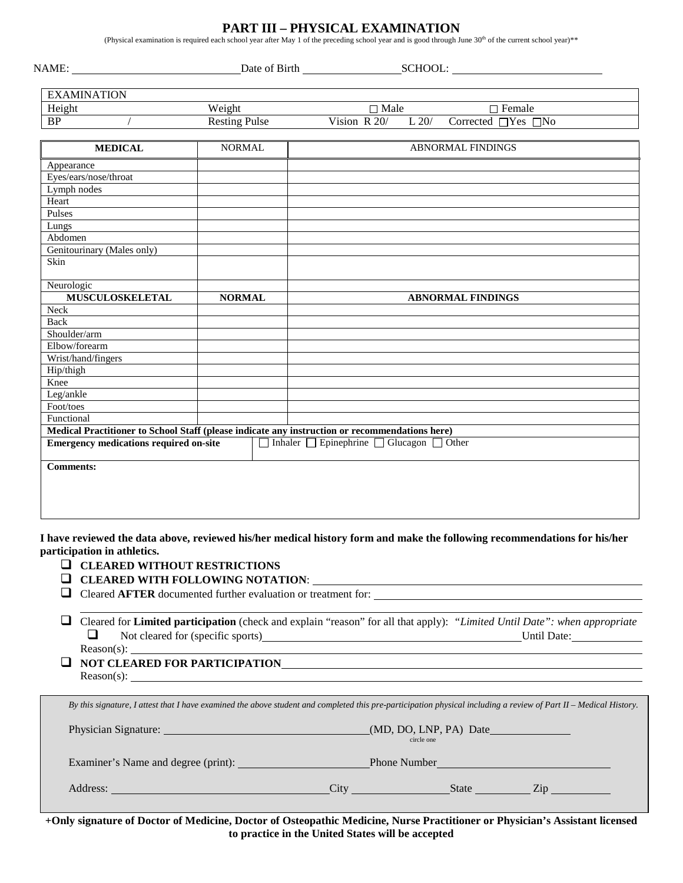### **PART III – PHYSICAL EXAMINATION**

(Physical examination is required each school year after May 1 of the preceding school year and is good through June  $30<sup>th</sup>$  of the current school year)\*\*

|                                               |                      | SCHOOL:<br>Date of Birth                                                                                                         |
|-----------------------------------------------|----------------------|----------------------------------------------------------------------------------------------------------------------------------|
| <b>EXAMINATION</b>                            |                      |                                                                                                                                  |
| Height                                        | Weight               | $\Box$ Male<br>$\Box$ Female                                                                                                     |
| <b>BP</b>                                     | <b>Resting Pulse</b> | Vision R 20/<br>Corrected □Yes □No<br>L 20/                                                                                      |
| <b>MEDICAL</b>                                | <b>NORMAL</b>        | <b>ABNORMAL FINDINGS</b>                                                                                                         |
| Appearance                                    |                      |                                                                                                                                  |
| Eyes/ears/nose/throat                         |                      |                                                                                                                                  |
| Lymph nodes                                   |                      |                                                                                                                                  |
| Heart                                         |                      |                                                                                                                                  |
| Pulses                                        |                      |                                                                                                                                  |
| Lungs                                         |                      |                                                                                                                                  |
| Abdomen                                       |                      |                                                                                                                                  |
| Genitourinary (Males only)                    |                      |                                                                                                                                  |
| Skin                                          |                      |                                                                                                                                  |
| Neurologic                                    |                      |                                                                                                                                  |
| <b>MUSCULOSKELETAL</b>                        | <b>NORMAL</b>        | <b>ABNORMAL FINDINGS</b>                                                                                                         |
| Neck                                          |                      |                                                                                                                                  |
| Back                                          |                      |                                                                                                                                  |
| Shoulder/arm                                  |                      |                                                                                                                                  |
| Elbow/forearm                                 |                      |                                                                                                                                  |
| Wrist/hand/fingers                            |                      |                                                                                                                                  |
| Hip/thigh                                     |                      |                                                                                                                                  |
| Knee                                          |                      |                                                                                                                                  |
| Leg/ankle                                     |                      |                                                                                                                                  |
| Foot/toes                                     |                      |                                                                                                                                  |
| Functional                                    |                      |                                                                                                                                  |
|                                               |                      | Medical Practitioner to School Staff (please indicate any instruction or recommendations here)                                   |
| <b>Emergency medications required on-site</b> |                      | $\Box$ Inhaler $\Box$ Epinephrine $\Box$ Glucagon $\Box$ Other                                                                   |
| <b>Comments:</b>                              |                      |                                                                                                                                  |
|                                               |                      |                                                                                                                                  |
|                                               |                      |                                                                                                                                  |
|                                               |                      |                                                                                                                                  |
|                                               |                      | I have reviewed the data above, reviewed his/her medical history form and make the following recommendations for his/her         |
| participation in athletics.                   |                      |                                                                                                                                  |
| $\Box$ CLEARED WITHOUT RESTRICTIONS           |                      |                                                                                                                                  |
|                                               |                      | $\Box$ CLEARED WITH FOLLOWING NOTATION: $\Box$                                                                                   |
|                                               |                      | $\Box$ Cleared AFTER documented further evaluation or treatment for:                                                             |
|                                               |                      | $\Box$ Cleared for Limited participation (check and explain "reason" for all that apply): "Limited Until Date": when appropriate |
| ❏                                             |                      | Not cleared for (specific sports) Until Date: Until Date:                                                                        |
|                                               |                      | Reason(s):                                                                                                                       |

**NOT CLEARED FOR PARTICIPATION** Reason(s): \_

| By this signature, I attest that I have examined the above student and completed this pre-participation physical including a review of Part II – Medical History. |                                         |  |  |  |
|-------------------------------------------------------------------------------------------------------------------------------------------------------------------|-----------------------------------------|--|--|--|
|                                                                                                                                                                   | $(MD, DO, LNP, PA)$ Date<br>circle one  |  |  |  |
|                                                                                                                                                                   | <b>Phone Number <i>Phone Number</i></b> |  |  |  |
| Address:<br>City<br><u> 1989 - Johann Stein, marwolaethau a bhann an t-Amhair an t-Amhair an t-Amhair an t-Amhair an t-Amhair an t-A</u>                          | State<br>Zin                            |  |  |  |

 **to practice in the United States will be accepted +Only signature of Doctor of Medicine, Doctor of Osteopathic Medicine, Nurse Practitioner or Physician's Assistant licensed**